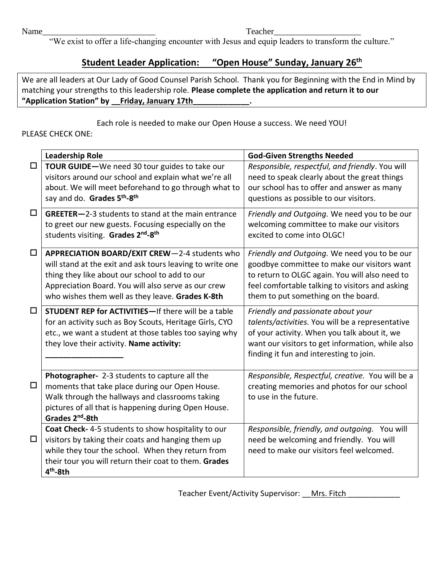Name\_\_\_\_\_\_\_\_\_\_\_\_\_\_\_\_\_\_\_\_\_\_\_\_\_\_ Teacher\_\_\_\_\_\_\_\_\_\_\_\_\_\_\_\_\_\_\_\_

"We exist to offer a life-changing encounter with Jesus and equip leaders to transform the culture."

## **Student Leader Application: "Open House" Sunday, January 26 th**

We are all leaders at Our Lady of Good Counsel Parish School. Thank you for Beginning with the End in Mind by matching your strengths to this leadership role. **Please complete the application and return it to our "Application Station" by \_\_Friday, January 17th\_\_\_\_\_\_\_\_\_\_\_\_\_.**

Each role is needed to make our Open House a success. We need YOU!

## PLEASE CHECK ONE:

|        | <b>Leadership Role</b>                                                                                                                                                                                                                                                  | <b>God-Given Strengths Needed</b>                                                                                                                                                                                                       |
|--------|-------------------------------------------------------------------------------------------------------------------------------------------------------------------------------------------------------------------------------------------------------------------------|-----------------------------------------------------------------------------------------------------------------------------------------------------------------------------------------------------------------------------------------|
| $\Box$ | TOUR GUIDE-We need 30 tour guides to take our<br>visitors around our school and explain what we're all<br>about. We will meet beforehand to go through what to<br>say and do. Grades 5 <sup>th</sup> -8 <sup>th</sup>                                                   | Responsible, respectful, and friendly. You will<br>need to speak clearly about the great things<br>our school has to offer and answer as many<br>questions as possible to our visitors.                                                 |
| $\Box$ | GREETER-2-3 students to stand at the main entrance<br>to greet our new guests. Focusing especially on the<br>students visiting. Grades 2nd-8th                                                                                                                          | Friendly and Outgoing. We need you to be our<br>welcoming committee to make our visitors<br>excited to come into OLGC!                                                                                                                  |
| $\Box$ | APPRECIATION BOARD/EXIT CREW-2-4 students who<br>will stand at the exit and ask tours leaving to write one<br>thing they like about our school to add to our<br>Appreciation Board. You will also serve as our crew<br>who wishes them well as they leave. Grades K-8th | Friendly and Outgoing. We need you to be our<br>goodbye committee to make our visitors want<br>to return to OLGC again. You will also need to<br>feel comfortable talking to visitors and asking<br>them to put something on the board. |
| $\Box$ | STUDENT REP for ACTIVITIES-If there will be a table<br>for an activity such as Boy Scouts, Heritage Girls, CYO<br>etc., we want a student at those tables too saying why<br>they love their activity. Name activity:                                                    | Friendly and passionate about your<br>talents/activities. You will be a representative<br>of your activity. When you talk about it, we<br>want our visitors to get information, while also<br>finding it fun and interesting to join.   |
| $\Box$ | Photographer- 2-3 students to capture all the<br>moments that take place during our Open House.<br>Walk through the hallways and classrooms taking<br>pictures of all that is happening during Open House.<br>Grades 2 <sup>nd</sup> -8th                               | Responsible, Respectful, creative. You will be a<br>creating memories and photos for our school<br>to use in the future.                                                                                                                |
| $\Box$ | Coat Check- 4-5 students to show hospitality to our<br>visitors by taking their coats and hanging them up<br>while they tour the school. When they return from<br>their tour you will return their coat to them. Grades<br>$4th$ -8th                                   | Responsible, friendly, and outgoing. You will<br>need be welcoming and friendly. You will<br>need to make our visitors feel welcomed.                                                                                                   |

Teacher Event/Activity Supervisor: Mrs. Fitch